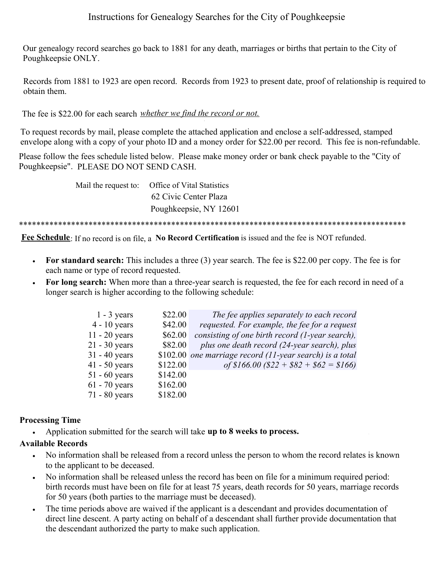## Instructions for Genealogy Searches for the City of Poughkeepsie

Our genealogy record searches go back to 1881 for any death, marriages or births that pertain to the City of  $p_{\rm e}$  – present date  $p_{\rm e}$ Poughkeepsie ONLY.

Records from 1881 to 1923 are open record. Records from 1923 to present date, proof of relationship is required to obtain them.

• By Mail - **The letter MUST BE NOTARIZED** – **NO EXCEPTION**. A **stamped,**  The fee is \$22.00 for each search *whether we find the record or not*.

To request records by mail, please complete the attached application and enclose a self-addressed, stamped envelope along with a copy of your photo ID and a money order for \$22.00 per record. This fee is non-refundable.

Please follow the fees schedule listed below. Please make money order or bank check payable to the "City of Poughkeepsie". PLEASE DO NOT SEND CASH.

Mail the request to: Office of Vital Statistics 62 Civic Center Plaza Poughkeepsie, NY 12601

.<br>Poughkeepsie, Ny 12602 is in it in die Stads in die Indie is in it in die Indie In it in in in in in in in in \*\*\*\*\*\*\*\*\*\*\*\*\*\*\*\*\*\*\*\*\*\*\*\*\*\*\*\*\*\*\*\*\*\*\*\*\*\*\*\*\*\*\*\*\*\*\*\*\*\*\*\*\*\*\*\*\*\*\*\*\*\*\*\*\*\*\*\*\*\*\*\*\*\*\*\*\*\*\*\*\*\*\*\*\*\*\*\*\*

**Fee Schedule**: If no record is on file, a **No Record Certification** is issued and the fee is NOT refunded.

- **For standard search:** This includes a three (3) year search. The fee is \$22.00 per copy. The fee is for each name or type of record requested.
- **For long search:** When more than a three-year search is requested, the fee for each record in need of a longer search is higher according to the following schedule:

| $1 - 3$ years   | \$22.00  | The fee applies separately to each record                |
|-----------------|----------|----------------------------------------------------------|
| $4 - 10$ years  | \$42.00  | requested. For example, the fee for a request            |
| $11 - 20$ years | \$62.00  | consisting of one birth record (1-year search),          |
| $21 - 30$ years | \$82.00  | plus one death record (24-year search), plus             |
| $31 - 40$ years |          | \$102.00 one marriage record (11-year search) is a total |
| $41 - 50$ years | \$122.00 | of \$166.00 (\$22 + \$82 + \$62 = \$166)                 |
| $51 - 60$ years | \$142.00 |                                                          |
| $61 - 70$ years | \$162.00 |                                                          |
| 71 - 80 years   | \$182.00 |                                                          |
|                 |          |                                                          |

## **Processing Time**

• Application submitted for the search will take **up to 8 weeks to process.** 

## **Available Records**

- No information shall be released from a record unless the person to whom the record relates is known to the applicant to be deceased.
- No information shall be released unless the record has been on file for a minimum required period: birth records must have been on file for at least 75 years, death records for 50 years, marriage records for 50 years (both parties to the marriage must be deceased).
- The time periods above are waived if the applicant is a descendant and provides documentation of direct line descent. A party acting on behalf of a descendant shall further provide documentation that the descendant authorized the party to make such application.